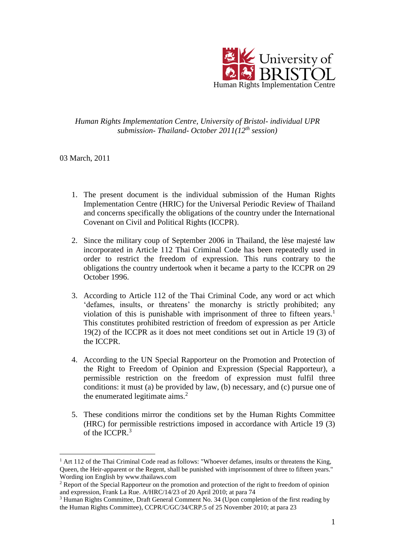

*Human Rights Implementation Centre, University of Bristol- individual UPR submission- Thailand- October 2011(12th session)*

03 March, 2011

1

- 1. The present document is the individual submission of the Human Rights Implementation Centre (HRIC) for the Universal Periodic Review of Thailand and concerns specifically the obligations of the country under the International Covenant on Civil and Political Rights (ICCPR).
- 2. Since the military coup of September 2006 in Thailand, the lèse majesté law incorporated in Article 112 Thai Criminal Code has been repeatedly used in order to restrict the freedom of expression. This runs contrary to the obligations the country undertook when it became a party to the ICCPR on 29 October 1996.
- 3. According to Article 112 of the Thai Criminal Code, any word or act which 'defames, insults, or threatens' the monarchy is strictly prohibited; any violation of this is punishable with imprisonment of three to fifteen years. 1 This constitutes prohibited restriction of freedom of expression as per Article 19(2) of the ICCPR as it does not meet conditions set out in Article 19 (3) of the ICCPR.
- 4. According to the UN Special Rapporteur on the Promotion and Protection of the Right to Freedom of Opinion and Expression (Special Rapporteur), a permissible restriction on the freedom of expression must fulfil three conditions: it must (a) be provided by law, (b) necessary, and (c) pursue one of the enumerated legitimate  $aims<sup>2</sup>$ .
- 5. These conditions mirror the conditions set by the Human Rights Committee (HRC) for permissible restrictions imposed in accordance with Article 19 (3) of the ICCPR.<sup>3</sup>

 $<sup>1</sup>$  Art 112 of the Thai Criminal Code read as follows: "Whoever defames, insults or threatens the King,</sup> Queen, the Heir-apparent or the Regent, shall be punished with imprisonment of three to fifteen years." Wording ion English by www.thailaws.com

<sup>&</sup>lt;sup>2</sup> Report of the Special Rapporteur on the promotion and protection of the right to freedom of opinion and expression, Frank La Rue. A/HRC/14/23 of 20 April 2010; at para 74

<sup>&</sup>lt;sup>3</sup> Human Rights Committee, Draft General Comment No. 34 (Upon completion of the first reading by the Human Rights Committee), CCPR/C/GC/34/CRP.5 of 25 November 2010; at para 23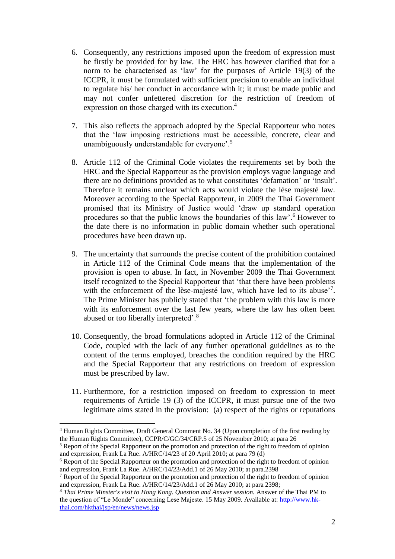- 6. Consequently, any restrictions imposed upon the freedom of expression must be firstly be provided for by law. The HRC has however clarified that for a norm to be characterised as 'law' for the purposes of Article 19(3) of the ICCPR, it must be formulated with sufficient precision to enable an individual to regulate his/ her conduct in accordance with it; it must be made public and may not confer unfettered discretion for the restriction of freedom of expression on those charged with its execution. 4
- 7. This also reflects the approach adopted by the Special Rapporteur who notes that the 'law imposing restrictions must be accessible, concrete, clear and unambiguously understandable for everyone'.<sup>5</sup>
- 8. Article 112 of the Criminal Code violates the requirements set by both the HRC and the Special Rapporteur as the provision employs vague language and there are no definitions provided as to what constitutes 'defamation' or 'insult'. Therefore it remains unclear which acts would violate the lèse majesté law. Moreover according to the Special Rapporteur, in 2009 the Thai Government promised that its Ministry of Justice would 'draw up standard operation procedures so that the public knows the boundaries of this law'.<sup>6</sup> However to the date there is no information in public domain whether such operational procedures have been drawn up.
- 9. The uncertainty that surrounds the precise content of the prohibition contained in Article 112 of the Criminal Code means that the implementation of the provision is open to abuse. In fact, in November 2009 the Thai Government itself recognized to the Special Rapporteur that 'that there have been problems with the enforcement of the lèse-majesté law, which have led to its abuse'<sup>7</sup>. The Prime Minister has publicly stated that 'the problem with this law is more with its enforcement over the last few years, where the law has often been abused or too liberally interpreted'.<sup>8</sup>
- 10. Consequently, the broad formulations adopted in Article 112 of the Criminal Code, coupled with the lack of any further operational guidelines as to the content of the terms employed, breaches the condition required by the HRC and the Special Rapporteur that any restrictions on freedom of expression must be prescribed by law.
- 11. Furthermore, for a restriction imposed on freedom to expression to meet requirements of Article 19 (3) of the ICCPR, it must pursue one of the two legitimate aims stated in the provision: (a) respect of the rights or reputations

1

<sup>4</sup> Human Rights Committee, Draft General Comment No. 34 (Upon completion of the first reading by the Human Rights Committee), CCPR/C/GC/34/CRP.5 of 25 November 2010; at para 26

<sup>&</sup>lt;sup>5</sup> Report of the Special Rapporteur on the promotion and protection of the right to freedom of opinion and expression, Frank La Rue. A/HRC/14/23 of 20 April 2010; at para 79 (d)

<sup>6</sup> Report of the Special Rapporteur on the promotion and protection of the right to freedom of opinion and expression, Frank La Rue. A/HRC/14/23/Add.1 of 26 May 2010; at para.2398

<sup>7</sup> Report of the Special Rapporteur on the promotion and protection of the right to freedom of opinion and expression, Frank La Rue. A/HRC/14/23/Add.1 of 26 May 2010; at para 2398;

<sup>8</sup> *Thai Prime Minster's visit to Hong Kong. Question and Answer session.* Answer of the Thai PM to the question of "Le Monde" concerning Lese Majeste. 15 May 2009. Available at: [http://www.hk](http://www.hk-thai.com/hkthai/jsp/en/news/news.jsp)[thai.com/hkthai/jsp/en/news/news.jsp](http://www.hk-thai.com/hkthai/jsp/en/news/news.jsp)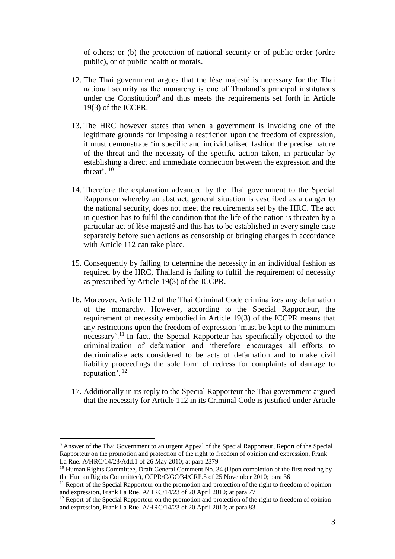of others; or (b) the protection of national security or of public order (ordre public), or of public health or morals.

- 12. The Thai government argues that the lèse majesté is necessary for the Thai national security as the monarchy is one of Thailand's principal institutions under the Constitution<sup>9</sup> and thus meets the requirements set forth in Article 19(3) of the ICCPR.
- 13. The HRC however states that when a government is invoking one of the legitimate grounds for imposing a restriction upon the freedom of expression, it must demonstrate 'in specific and individualised fashion the precise nature of the threat and the necessity of the specific action taken, in particular by establishing a direct and immediate connection between the expression and the threat'. <sup>10</sup>
- 14. Therefore the explanation advanced by the Thai government to the Special Rapporteur whereby an abstract, general situation is described as a danger to the national security, does not meet the requirements set by the HRC. The act in question has to fulfil the condition that the life of the nation is threaten by a particular act of lèse majesté and this has to be established in every single case separately before such actions as censorship or bringing charges in accordance with Article 112 can take place.
- 15. Consequently by falling to determine the necessity in an individual fashion as required by the HRC, Thailand is failing to fulfil the requirement of necessity as prescribed by Article 19(3) of the ICCPR.
- 16. Moreover, Article 112 of the Thai Criminal Code criminalizes any defamation of the monarchy. However, according to the Special Rapporteur, the requirement of necessity embodied in Article 19(3) of the ICCPR means that any restrictions upon the freedom of expression 'must be kept to the minimum necessary'.<sup>11</sup> In fact, the Special Rapporteur has specifically objected to the criminalization of defamation and 'therefore encourages all efforts to decriminalize acts considered to be acts of defamation and to make civil liability proceedings the sole form of redress for complaints of damage to reputation'. <sup>12</sup>
- 17. Additionally in its reply to the Special Rapporteur the Thai government argued that the necessity for Article 112 in its Criminal Code is justified under Article

<u>.</u>

<sup>&</sup>lt;sup>9</sup> Answer of the Thai Government to an urgent Appeal of the Special Rapporteur, Report of the Special Rapporteur on the promotion and protection of the right to freedom of opinion and expression, Frank La Rue. A/HRC/14/23/Add.1 of 26 May 2010; at para 2379

<sup>&</sup>lt;sup>10</sup> Human Rights Committee, Draft General Comment No. 34 (Upon completion of the first reading by the Human Rights Committee), CCPR/C/GC/34/CRP.5 of 25 November 2010; para 36

<sup>&</sup>lt;sup>11</sup> Report of the Special Rapporteur on the promotion and protection of the right to freedom of opinion and expression, Frank La Rue. A/HRC/14/23 of 20 April 2010; at para 77

 $12$  Report of the Special Rapporteur on the promotion and protection of the right to freedom of opinion and expression, Frank La Rue. A/HRC/14/23 of 20 April 2010; at para 83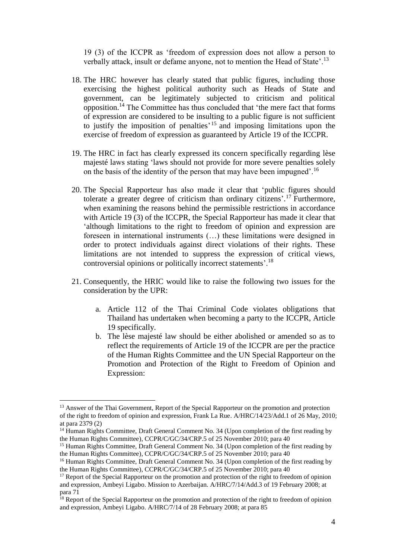19 (3) of the ICCPR as 'freedom of expression does not allow a person to verbally attack, insult or defame anyone, not to mention the Head of State'.<sup>13</sup>

- 18. The HRC however has clearly stated that public figures, including those exercising the highest political authority such as Heads of State and government, can be legitimately subjected to criticism and political opposition.<sup>14</sup> The Committee has thus concluded that 'the mere fact that forms of expression are considered to be insulting to a public figure is not sufficient to justify the imposition of penalties' <sup>15</sup> and imposing limitations upon the exercise of freedom of expression as guaranteed by Article 19 of the ICCPR.
- 19. The HRC in fact has clearly expressed its concern specifically regarding lèse majesté laws stating 'laws should not provide for more severe penalties solely on the basis of the identity of the person that may have been impugned'.<sup>16</sup>
- 20. The Special Rapporteur has also made it clear that 'public figures should tolerate a greater degree of criticism than ordinary citizens'. <sup>17</sup> Furthermore, when examining the reasons behind the permissible restrictions in accordance with Article 19 (3) of the ICCPR, the Special Rapporteur has made it clear that 'although limitations to the right to freedom of opinion and expression are foreseen in international instruments (…) these limitations were designed in order to protect individuals against direct violations of their rights. These limitations are not intended to suppress the expression of critical views, controversial opinions or politically incorrect statements'.<sup>18</sup>
- 21. Consequently, the HRIC would like to raise the following two issues for the consideration by the UPR:
	- a. Article 112 of the Thai Criminal Code violates obligations that Thailand has undertaken when becoming a party to the ICCPR, Article 19 specifically.
	- b. The lèse majesté law should be either abolished or amended so as to reflect the requirements of Article 19 of the ICCPR are per the practice of the Human Rights Committee and the UN Special Rapporteur on the Promotion and Protection of the Right to Freedom of Opinion and Expression:

1

<sup>&</sup>lt;sup>13</sup> Answer of the Thai Government, Report of the Special Rapporteur on the promotion and protection of the right to freedom of opinion and expression, Frank La Rue. A/HRC/14/23/Add.1 of 26 May, 2010; at para 2379 (2)

<sup>&</sup>lt;sup>14</sup> Human Rights Committee, Draft General Comment No. 34 (Upon completion of the first reading by the Human Rights Committee), CCPR/C/GC/34/CRP.5 of 25 November 2010; para 40

<sup>&</sup>lt;sup>15</sup> Human Rights Committee, Draft General Comment No. 34 (Upon completion of the first reading by the Human Rights Committee), CCPR/C/GC/34/CRP.5 of 25 November 2010; para 40

<sup>&</sup>lt;sup>16</sup> Human Rights Committee, Draft General Comment No. 34 (Upon completion of the first reading by the Human Rights Committee), CCPR/C/GC/34/CRP.5 of 25 November 2010; para 40

 $17$  Report of the Special Rapporteur on the promotion and protection of the right to freedom of opinion and expression, Ambeyi Ligabo. Mission to Azerbaijan. A/HRC/7/14/Add.3 of 19 February 2008; at para 71

<sup>&</sup>lt;sup>18</sup> Report of the Special Rapporteur on the promotion and protection of the right to freedom of opinion and expression, Ambeyi Ligabo. A/HRC/7/14 of 28 February 2008; at para 85